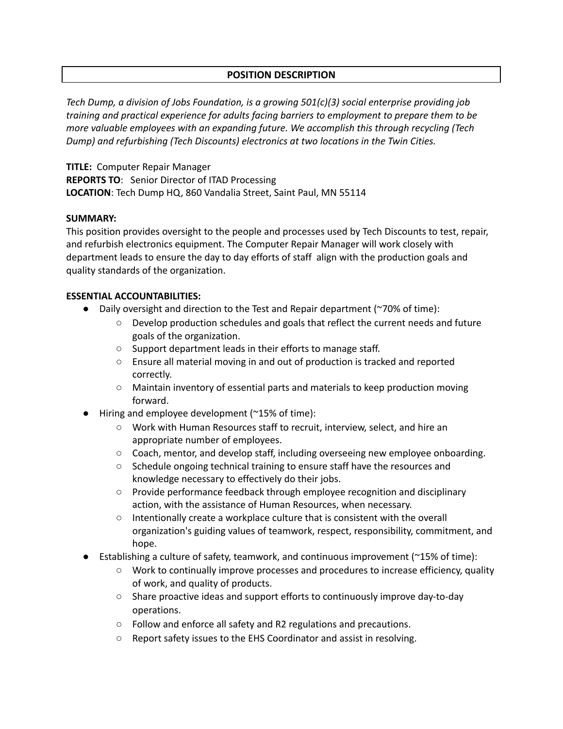# **POSITION DESCRIPTION**

*Tech Dump, a division of Jobs Foundation, is a growing 501(c)(3) social enterprise providing job training and practical experience for adults facing barriers to employment to prepare them to be more valuable employees with an expanding future. We accomplish this through recycling (Tech Dump) and refurbishing (Tech Discounts) electronics at two locations in the Twin Cities.*

**TITLE:** Computer Repair Manager **REPORTS TO**: Senior Director of ITAD Processing **LOCATION**: Tech Dump HQ, 860 Vandalia Street, Saint Paul, MN 55114

#### **SUMMARY:**

This position provides oversight to the people and processes used by Tech Discounts to test, repair, and refurbish electronics equipment. The Computer Repair Manager will work closely with department leads to ensure the day to day efforts of staff align with the production goals and quality standards of the organization.

### **ESSENTIAL ACCOUNTABILITIES:**

- Daily oversight and direction to the Test and Repair department (~70% of time):
	- Develop production schedules and goals that reflect the current needs and future goals of the organization.
	- Support department leads in their efforts to manage staff.
	- Ensure all material moving in and out of production is tracked and reported correctly.
	- Maintain inventory of essential parts and materials to keep production moving forward.
- **●** Hiring and employee development (~15% of time):
	- **○** Work with Human Resources staff to recruit, interview, select, and hire an appropriate number of employees.
	- **○** Coach, mentor, and develop staff, including overseeing new employee onboarding.
	- **○** Schedule ongoing technical training to ensure staff have the resources and knowledge necessary to effectively do their jobs.
	- **○** Provide performance feedback through employee recognition and disciplinary action, with the assistance of Human Resources, when necessary.
	- **○** Intentionally create a workplace culture that is consistent with the overall organization's guiding values of teamwork, respect, responsibility, commitment, and hope.
- Establishing a culture of safety, teamwork, and continuous improvement ( $\gamma$ 15% of time):
	- Work to continually improve processes and procedures to increase efficiency, quality of work, and quality of products.
	- Share proactive ideas and support efforts to continuously improve day-to-day operations.
	- Follow and enforce all safety and R2 regulations and precautions.
	- Report safety issues to the EHS Coordinator and assist in resolving.